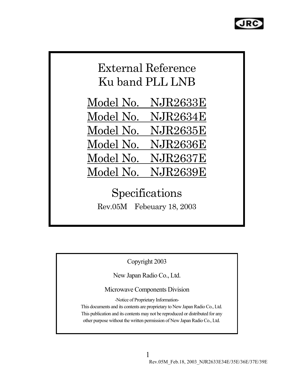

# External Reference Ku band PLL LNB

Model No. NJR2633E Model No. NJR2634E Model No. NJR2635E Model No. NJR2636E Model No. NJR2637E Model No. NJR2639E

Specifications Rev.05M Febeuary 18, 2003

Copyright 2003

New Japan Radio Co., Ltd.

Microwave Components Division

-Notice of Proprietary Information-

This documents and its contents are proprietary to New Japan Radio Co., Ltd. This publication and its contents may not be reproduced or distributed for any other purpose without the written permission of New Japan Radio Co., Ltd.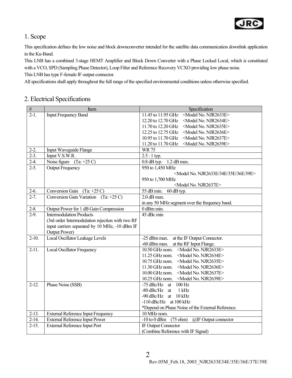

#### 1. Scope

This specification defines the low noise and block downconverter intended for the satellite data communication downlink application in the Ku-Band.

This LNB has a combined 3-stage HEMT Amplifier and Block Down Converter with a Phase Locked Local, which is constituted with a VCO, SPD (Sampling Phase Detector), Loop Filter and Reference Recovery VCXO providing low phase noise. This LNB has type F-female IF output connector.

All specifications shall apply throughout the full range of the specified environmental conditions unless otherwise specified.

#### 2. Electrical Specifications

| $\overline{\#}$    | Item                                             | Specification                                                  |
|--------------------|--------------------------------------------------|----------------------------------------------------------------|
| $2-1$ .            | <b>Input Frequency Band</b>                      | <model njr2633e="" no.=""><br/>11.45 to 11.95 GHz</model>      |
|                    |                                                  | 12.20 to 12.70 GHz<br><model njr2634e="" no.=""></model>       |
|                    |                                                  | 11.70 to 12.20 GHz<br><model njr2635e="" no.=""></model>       |
|                    |                                                  | 12.25 to 12.75 GHz<br><model njr2636e="" no.=""></model>       |
|                    |                                                  | 10.95 to 11.70 GHz<br><model njr2637e="" no.=""></model>       |
|                    |                                                  | 11.20 to 11.70 GHz<br><model njr2639e="" no.=""></model>       |
| $2-2.$             | Input Waveguide Flange                           | <b>WR75</b>                                                    |
| $2-3.$             | Input V.S.W.R.                                   | $2.5:1$ typ.                                                   |
| $2-4.$             | Noise figure $(Ta: +25 C)$                       | $0.8$ dB typ. $\overline{1.2}$ dB max.                         |
| $2-5.$             | <b>Output Frequency</b>                          | 950 to 1,450 MHz                                               |
|                    |                                                  | <model 34e="" 35e="" 36e="" 39e="" njr2633e="" no.=""></model> |
|                    |                                                  | 950 to 1,700 MHz                                               |
|                    |                                                  | <model njr2637e="" no.=""></model>                             |
| $2-6.$             | <b>Conversion Gain</b><br>$(Ta: +25 C)$          | 55 dB min.<br>60 dB typ.                                       |
| $2 - 7.$           | Conversion Gain Variation (Ta: $+25$ C)          | $2.0$ dB max.                                                  |
|                    |                                                  | in any 50 MHz segment over the frequency band.                 |
| $2 - 8$ .          | Output Power for 1 dB Gain Compression           | 0 dBm min.                                                     |
| $\overline{2-9}$ . | <b>Intermodulation Products</b>                  | 45 dBc min                                                     |
|                    | (3rd order Intermodulation rejection with two RF |                                                                |
|                    | input carriers separated by 10 MHz, -10 dBm IF   |                                                                |
|                    | Output Power)                                    |                                                                |
| $2-10.$            | Local Oscillator Leakage Levels                  | -25 dBm max. at the IF Output Connector.                       |
|                    |                                                  | -60 dBm max. at the RF Input Flange.                           |
| $2-11.$            | <b>Local Oscillator Frequency</b>                | <model njr2633e="" no.=""><br/>10.50 GHz nom.</model>          |
|                    |                                                  | 11.25 GHz nom.<br><model njr2634e="" no.=""></model>           |
|                    |                                                  | 10.75 GHz nom.<br><model njr2635e="" no.=""></model>           |
|                    |                                                  | 11.30 GHz nom.<br><model njr2636e="" no.=""></model>           |
|                    |                                                  | 10.00 GHz nom.<br><model njr2637e="" no.=""></model>           |
|                    |                                                  | 10.25 GHz nom.<br><model njr2639e="" no.=""></model>           |
| $2-12.$            | Phase Noise (SSB)                                | $-75$ dBc/Hz at<br>$100$ Hz                                    |
|                    |                                                  | $-80$ dBc/Hz at<br>1 kHz                                       |
|                    |                                                  | -90 dBc/Hz at 10 kHz                                           |
|                    |                                                  | $-110$ dBc/Hz at $100$ kHz                                     |
|                    |                                                  | *Depend on Phase Noise of the External Reference.              |
| $2-13.$            | External Reference Input Frequency               | 10 MHz nom.                                                    |
| $2-14.$            | <b>External Reference Input Power</b>            | $-10$ to $0$ dBm<br>$(75 \text{ ohm})$<br>@IF Output connector |
| $2 - 15.$          | <b>External Reference Input Port</b>             | IF Output Connector                                            |
|                    |                                                  | (Combine Reference with IF Signal)                             |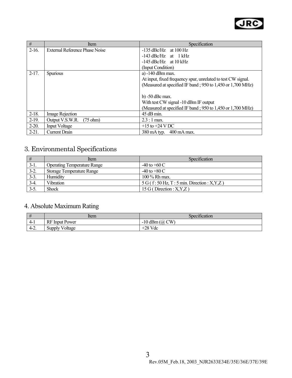

| #       | Item                                  | Specification                                                |
|---------|---------------------------------------|--------------------------------------------------------------|
| $2-16.$ | <b>External Reference Phase Noise</b> | $-135$ dBc/Hz at 100 Hz                                      |
|         |                                       | $-143$ dBc/Hz at $1$ kHz                                     |
|         |                                       | $-145$ dBc/Hz at 10 kHz                                      |
|         |                                       | (Input Condition)                                            |
| $2-17.$ | <b>Spurious</b>                       | a) -140 dBm max.                                             |
|         |                                       | At input, fixed frequency spur, unrelated to test CW signal. |
|         |                                       | (Measured at specified IF band; 950 to 1,450 or 1,700 MHz)   |
|         |                                       |                                                              |
|         |                                       | $b) -50$ dBc max.                                            |
|         |                                       | With test CW signal -10 dBm IF output                        |
|         |                                       | (Measured at specified IF band; 950 to 1,450 or 1,700 MHz)   |
| $2-18.$ | <b>Image Rejection</b>                | 45 dB min.                                                   |
| $2-19.$ | Output V.S.W.R.<br>$(75 \text{ ohm})$ | $2.3:1$ max.                                                 |
| $2-20.$ | <b>Input Voltage</b>                  | $+15$ to $+24$ V DC                                          |
| $2-21.$ | Current Drain                         | 380 mA typ.<br>400 mA max.                                   |

### 3. Environmental Specifications

| #      | <b>Item</b>                        | Specification                                  |
|--------|------------------------------------|------------------------------------------------|
| $3-1.$ | <b>Operating Temperature Range</b> | $-40$ to $+60$ C                               |
| $3-2.$ | <b>Storage Temperature Range</b>   | $-40$ to $+80$ C                               |
| $3-3.$ | Humidity                           | $100\%$ Rh max.                                |
| $3-4.$ | <b>Vibration</b>                   | $5 G$ (f: 50 Hz, T: 5 min. Direction: X, Y, Z) |
| $3-5.$ | Shock                              | 15 G (Direction : $X, Y, Z$ )                  |

### 4. Absolute Maximum Rating

| #      | ltem                  | $\cdot$ $\sim$<br>Specification |
|--------|-----------------------|---------------------------------|
| $4-1$  | <b>RF</b> Input Power | $-10$ dBm $(a)$<br>CW           |
| $4-2.$ | <b>Supply Voltage</b> | $+28$ Vdc                       |